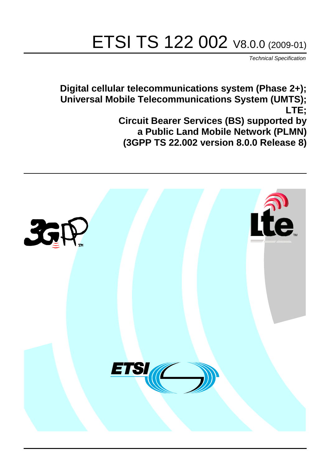# ETSI TS 122 002 V8.0.0 (2009-01)

*Technical Specification*

**Digital cellular telecommunications system (Phase 2+); Universal Mobile Telecommunications System (UMTS); LTE; Circuit Bearer Services (BS) supported by a Public Land Mobile Network (PLMN) (3GPP TS 22.002 version 8.0.0 Release 8)**

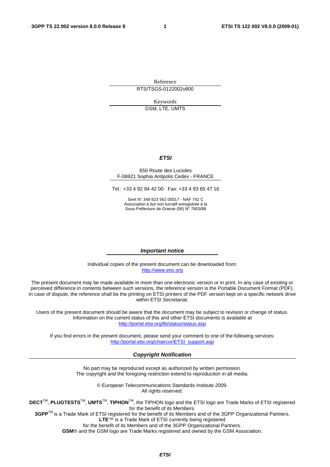Reference RTS/TSGS-0122002v800

Keywords

GSM, LTE, UMTS

#### *ETSI*

#### 650 Route des Lucioles F-06921 Sophia Antipolis Cedex - FRANCE

Tel.: +33 4 92 94 42 00 Fax: +33 4 93 65 47 16

Siret N° 348 623 562 00017 - NAF 742 C Association à but non lucratif enregistrée à la Sous-Préfecture de Grasse (06) N° 7803/88

#### *Important notice*

Individual copies of the present document can be downloaded from: [http://www.etsi.org](http://www.etsi.org/)

The present document may be made available in more than one electronic version or in print. In any case of existing or perceived difference in contents between such versions, the reference version is the Portable Document Format (PDF). In case of dispute, the reference shall be the printing on ETSI printers of the PDF version kept on a specific network drive within ETSI Secretariat.

Users of the present document should be aware that the document may be subject to revision or change of status. Information on the current status of this and other ETSI documents is available at <http://portal.etsi.org/tb/status/status.asp>

If you find errors in the present document, please send your comment to one of the following services: [http://portal.etsi.org/chaircor/ETSI\\_support.asp](http://portal.etsi.org/chaircor/ETSI_support.asp)

#### *Copyright Notification*

No part may be reproduced except as authorized by written permission. The copyright and the foregoing restriction extend to reproduction in all media.

> © European Telecommunications Standards Institute 2009. All rights reserved.

**DECT**TM, **PLUGTESTS**TM, **UMTS**TM, **TIPHON**TM, the TIPHON logo and the ETSI logo are Trade Marks of ETSI registered for the benefit of its Members.

**3GPP**TM is a Trade Mark of ETSI registered for the benefit of its Members and of the 3GPP Organizational Partners. **LTE**™ is a Trade Mark of ETSI currently being registered

for the benefit of its Members and of the 3GPP Organizational Partners.

**GSM**® and the GSM logo are Trade Marks registered and owned by the GSM Association.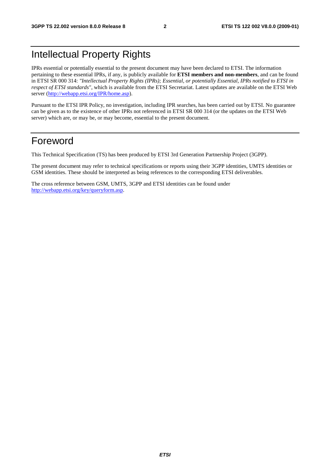### Intellectual Property Rights

IPRs essential or potentially essential to the present document may have been declared to ETSI. The information pertaining to these essential IPRs, if any, is publicly available for **ETSI members and non-members**, and can be found in ETSI SR 000 314: *"Intellectual Property Rights (IPRs); Essential, or potentially Essential, IPRs notified to ETSI in respect of ETSI standards"*, which is available from the ETSI Secretariat. Latest updates are available on the ETSI Web server [\(http://webapp.etsi.org/IPR/home.asp\)](http://webapp.etsi.org/IPR/home.asp).

Pursuant to the ETSI IPR Policy, no investigation, including IPR searches, has been carried out by ETSI. No guarantee can be given as to the existence of other IPRs not referenced in ETSI SR 000 314 (or the updates on the ETSI Web server) which are, or may be, or may become, essential to the present document.

### Foreword

This Technical Specification (TS) has been produced by ETSI 3rd Generation Partnership Project (3GPP).

The present document may refer to technical specifications or reports using their 3GPP identities, UMTS identities or GSM identities. These should be interpreted as being references to the corresponding ETSI deliverables.

The cross reference between GSM, UMTS, 3GPP and ETSI identities can be found under [http://webapp.etsi.org/key/queryform.asp.](http://webapp.etsi.org/key/queryform.asp)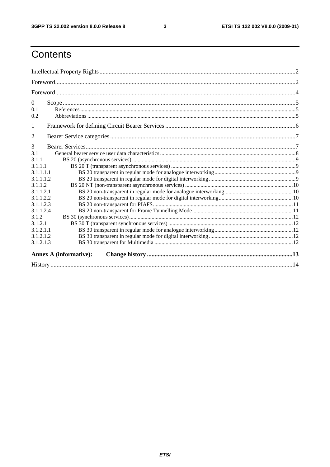$\mathbf{3}$ 

### Contents

| $\mathbf{0}$<br>0.1<br>0.2 |                               |  |
|----------------------------|-------------------------------|--|
| 1                          |                               |  |
| 2                          |                               |  |
| 3                          |                               |  |
| 3.1                        |                               |  |
| 3.1.1                      |                               |  |
| 3.1.1.1                    |                               |  |
| 3.1.1.1.1                  |                               |  |
| 3.1.1.1.2                  |                               |  |
| 3.1.1.2                    |                               |  |
| 3.1.1.2.1                  |                               |  |
| 3.1.1.2.2                  |                               |  |
| 3.1.1.2.3                  |                               |  |
| 3.1.1.2.4                  |                               |  |
| 3.1.2                      |                               |  |
| 3.1.2.1                    |                               |  |
| 3.1.2.1.1                  |                               |  |
| 3.1.2.1.2<br>3.1.2.1.3     |                               |  |
|                            |                               |  |
|                            | <b>Annex A (informative):</b> |  |
|                            |                               |  |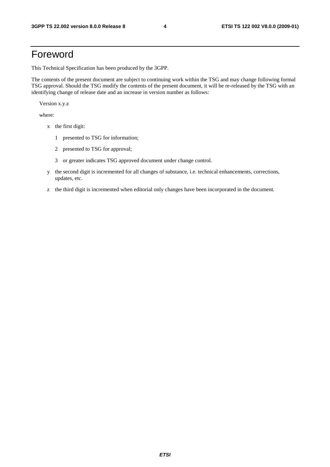### Foreword

This Technical Specification has been produced by the 3GPP.

The contents of the present document are subject to continuing work within the TSG and may change following formal TSG approval. Should the TSG modify the contents of the present document, it will be re-released by the TSG with an identifying change of release date and an increase in version number as follows:

Version x.y.z

where:

- x the first digit:
	- 1 presented to TSG for information;
	- 2 presented to TSG for approval;
	- 3 or greater indicates TSG approved document under change control.
- y the second digit is incremented for all changes of substance, i.e. technical enhancements, corrections, updates, etc.
- z the third digit is incremented when editorial only changes have been incorporated in the document.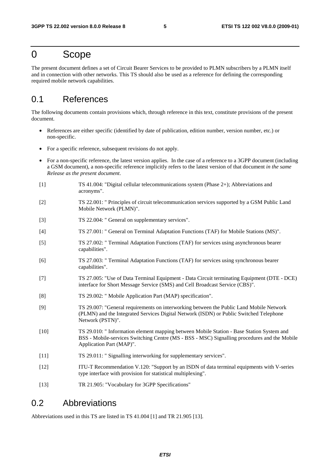### 0 Scope

The present document defines a set of Circuit Bearer Services to be provided to PLMN subscribers by a PLMN itself and in connection with other networks. This TS should also be used as a reference for defining the corresponding required mobile network capabilities.

#### 0.1 References

The following documents contain provisions which, through reference in this text, constitute provisions of the present document.

- References are either specific (identified by date of publication, edition number, version number, etc.) or non-specific.
- For a specific reference, subsequent revisions do not apply.
- For a non-specific reference, the latest version applies. In the case of a reference to a 3GPP document (including a GSM document), a non-specific reference implicitly refers to the latest version of that document *in the same Release as the present document*.
- [1] TS 41.004: "Digital cellular telecommunications system (Phase 2+); Abbreviations and acronyms".
- [2] TS 22.001: " Principles of circuit telecommunication services supported by a GSM Public Land Mobile Network (PLMN)".
- [3] TS 22.004: " General on supplementary services".
- [4] TS 27.001: " General on Terminal Adaptation Functions (TAF) for Mobile Stations (MS)".
- [5] TS 27.002: " Terminal Adaptation Functions (TAF) for services using asynchronous bearer capabilities".
- [6] TS 27.003: " Terminal Adaptation Functions (TAF) for services using synchronous bearer capabilities".
- [7] TS 27.005: "Use of Data Terminal Equipment Data Circuit terminating Equipment (DTE DCE) interface for Short Message Service (SMS) and Cell Broadcast Service (CBS)".
- [8] TS 29.002: " Mobile Application Part (MAP) specification".
- [9] TS 29.007: "General requirements on interworking between the Public Land Mobile Network (PLMN) and the Integrated Services Digital Network (ISDN) or Public Switched Telephone Network (PSTN)".
- [10] TS 29.010: " Information element mapping between Mobile Station Base Station System and BSS - Mobile-services Switching Centre (MS - BSS - MSC) Signalling procedures and the Mobile Application Part (MAP)".
- [11] TS 29.011: " Signalling interworking for supplementary services".
- [12] ITU-T Recommendation V.120: "Support by an ISDN of data terminal equipments with V-series type interface with provision for statistical multiplexing".
- [13] TR 21.905: "Vocabulary for 3GPP Specifications"

#### 0.2 Abbreviations

Abbreviations used in this TS are listed in TS 41.004 [1] and TR 21.905 [13].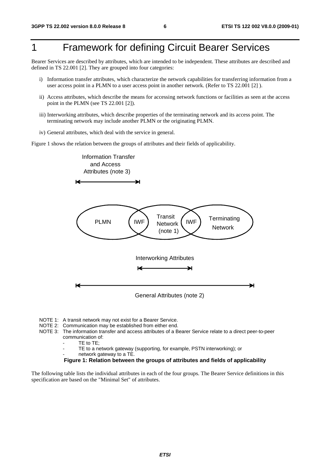### 1 Framework for defining Circuit Bearer Services

Bearer Services are described by attributes, which are intended to be independent. These attributes are described and defined in TS 22.001 [2]. They are grouped into four categories:

- i) Information transfer attributes, which characterize the network capabilities for transferring information from a user access point in a PLMN to a user access point in another network. (Refer to TS 22.001 [2] ).
- ii) Access attributes, which describe the means for accessing network functions or facilities as seen at the access point in the PLMN (see TS 22.001 [2]).
- iii) Interworking attributes, which describe properties of the terminating network and its access point. The terminating network may include another PLMN or the originating PLMN.
- iv) General attributes, which deal with the service in general.

Figure 1 shows the relation between the groups of attributes and their fields of applicability.



- NOTE 1: A transit network may not exist for a Bearer Service.
- NOTE 2: Communication may be established from either end.
- NOTE 3: The information transfer and access attributes of a Bearer Service relate to a direct peer-to-peer communication of:
	- TE to TE;
	- TE to a network gateway (supporting, for example, PSTN interworking); or
	- network gateway to a TE.

**Figure 1: Relation between the groups of attributes and fields of applicability** 

The following table lists the individual attributes in each of the four groups. The Bearer Service definitions in this specification are based on the "Minimal Set" of attributes.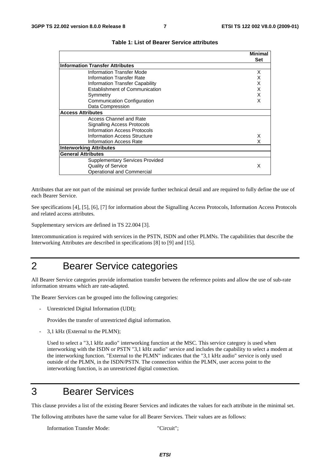**Minimal**

| Set                                    |  |
|----------------------------------------|--|
|                                        |  |
| Information Transfer Attributes        |  |
| <b>Information Transfer Mode</b><br>X  |  |
| Information Transfer Rate              |  |
| X<br>Information Transfer Capability   |  |
| Establishment of Communication<br>x    |  |
| x<br>Symmetry                          |  |
| x<br>Communication Configuration       |  |
| Data Compression                       |  |
| <b>Access Attributes</b>               |  |
| Access Channel and Rate                |  |
| <b>Signalling Access Protocols</b>     |  |
| <b>Information Access Protocols</b>    |  |
| Information Access Structure<br>х      |  |
| Information Access Rate                |  |
| <b>Interworking Attributes</b>         |  |
| <b>General Attributes</b>              |  |
| <b>Supplementary Services Provided</b> |  |
| <b>Quality of Service</b><br>x         |  |
| Operational and Commercial             |  |

#### **Table 1: List of Bearer Service attributes**

Attributes that are not part of the minimal set provide further technical detail and are required to fully define the use of each Bearer Service.

See specifications [4], [5], [6], [7] for information about the Signalling Access Protocols, Information Access Protocols and related access attributes.

Supplementary services are defined in TS 22.004 [3].

Intercommunication is required with services in the PSTN, ISDN and other PLMNs. The capabilities that describe the Interworking Attributes are described in specifications [8] to [9] and [15].

### 2 Bearer Service categories

All Bearer Service categories provide information transfer between the reference points and allow the use of sub-rate information streams which are rate-adapted.

The Bearer Services can be grouped into the following categories:

Unrestricted Digital Information (UDI);

Provides the transfer of unrestricted digital information.

- 3,1 kHz (External to the PLMN);

 Used to select a "3,1 kHz audio" interworking function at the MSC. This service category is used when interworking with the ISDN or PSTN "3,1 kHz audio" service and includes the capability to select a modem at the interworking function. "External to the PLMN" indicates that the "3,1 kHz audio" service is only used outside of the PLMN, in the ISDN/PSTN. The connection within the PLMN, user access point to the interworking function, is an unrestricted digital connection.

### 3 Bearer Services

This clause provides a list of the existing Bearer Services and indicates the values for each attribute in the minimal set.

The following attributes have the same value for all Bearer Services. Their values are as follows:

Information Transfer Mode: "Circuit";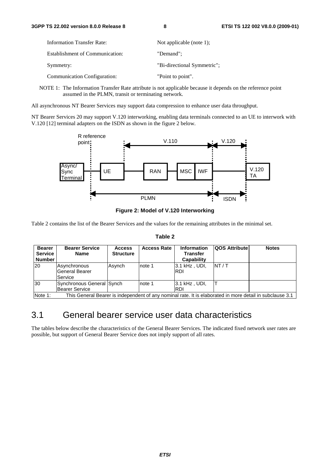| <b>Information Transfer Rate:</b> | Not applicable (note 1);    |
|-----------------------------------|-----------------------------|
| Establishment of Communication:   | "Demand":                   |
| Symmetry:                         | "Bi-directional Symmetric"; |
| Communication Configuration:      | "Point to point".           |

NOTE 1: The Information Transfer Rate attribute is not applicable because it depends on the reference point assumed in the PLMN, transit or terminating network.

All asynchronous NT Bearer Services may support data compression to enhance user data throughput.

NT Bearer Services 20 may support V.120 interworking, enabling data terminals connected to an UE to interwork with V.120 [12] terminal adapters on the ISDN as shown in the figure 2 below.



**Figure 2: Model of V.120 Interworking** 

Table 2 contains the list of the Bearer Services and the values for the remaining attributes in the minimal set.

| -<br>۰,<br>۰,<br>٠ |  |
|--------------------|--|
|--------------------|--|

| <b>Bearer</b><br><b>Service</b><br><b>Number</b> | <b>Bearer Service</b><br>Name                      | <b>Access</b><br><b>Structure</b> | <b>Access Rate</b> | <b>Information</b><br><b>Transfer</b><br>Capability | <b>QOS Attribute</b> | <b>Notes</b> |
|--------------------------------------------------|----------------------------------------------------|-----------------------------------|--------------------|-----------------------------------------------------|----------------------|--------------|
| 20                                               | Asynchronous<br><b>General Bearer</b><br>Service   | Asynch                            | note 1             | 3.1 kHz, UDI,<br>IRDI                               | NT/T                 |              |
| 30                                               | Synchronous General Synch<br><b>Bearer Service</b> |                                   | note 1             | 3.1 kHz, UDI,<br>IRDI                               |                      |              |

|Note 1: This General Bearer is independent of any nominal rate. It is elaborated in more detail in subclause 3.1

### 3.1 General bearer service user data characteristics

The tables below describe the characteristics of the General Bearer Services. The indicated fixed network user rates are possible, but support of General Bearer Service does not imply support of all rates.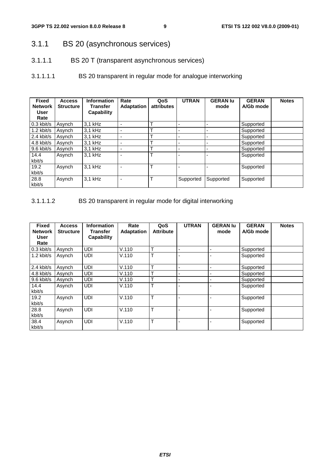- 3.1.1 BS 20 (asynchronous services)
- 3.1.1.1 BS 20 T (transparent asynchronous services)
- 3.1.1.1.1 BS 20 transparent in regular mode for analogue interworking

| <b>Fixed</b><br><b>Network</b><br>User<br>Rate | <b>Access</b><br><b>Structure</b> | <b>Information</b><br><b>Transfer</b><br><b>Capability</b> | Rate<br><b>Adaptation</b> | QoS<br>attributes | <b>UTRAN</b> | <b>GERAN lu</b><br>mode  | <b>GERAN</b><br>A/Gb mode | <b>Notes</b> |
|------------------------------------------------|-----------------------------------|------------------------------------------------------------|---------------------------|-------------------|--------------|--------------------------|---------------------------|--------------|
| l 0.3 kbit/s                                   | Asynch                            | 3,1 kHz                                                    |                           | ᠇                 |              |                          | Supported                 |              |
| $1.2$ kbit/s                                   | Asynch                            | $3.1$ kHz                                                  |                           |                   |              | $\overline{\phantom{a}}$ | Supported                 |              |
| 2.4 kbit/s                                     | Asynch                            | $3.1$ kHz                                                  | $\overline{\phantom{0}}$  | ᠇                 |              | $\overline{\phantom{0}}$ | Supported                 |              |
| 4.8 kbit/s                                     | Asynch                            | $3.1$ kHz                                                  | $\overline{\phantom{0}}$  | ᠇                 |              | $\overline{\phantom{a}}$ | Supported                 |              |
| l 9.6 kbit/s                                   | Asynch                            | $3.1$ kHz                                                  |                           |                   |              |                          | Supported                 |              |
| 14.4<br>kbit/s                                 | Asynch                            | 3.1 kHz                                                    |                           |                   |              |                          | Supported                 |              |
| 19.2<br>kbit/s                                 | Asynch                            | 3.1 kHz                                                    |                           | $\tau$            |              |                          | Supported                 |              |
| 28.8<br>kbit/s                                 | Asynch                            | 3,1 kHz                                                    |                           |                   | Supported    | Supported                | Supported                 |              |

3.1.1.1.2 BS 20 transparent in regular mode for digital interworking

| <b>Fixed</b><br><b>Network</b><br>User<br>Rate | <b>Access</b><br><b>Structure</b> | Information<br>Transfer<br><b>Capability</b> | Rate<br><b>Adaptation</b> | QoS<br><b>Attribute</b> | <b>UTRAN</b> | <b>GERAN lu</b><br>mode | <b>GERAN</b><br>A/Gb mode | <b>Notes</b> |
|------------------------------------------------|-----------------------------------|----------------------------------------------|---------------------------|-------------------------|--------------|-------------------------|---------------------------|--------------|
| 0.3 kbit/s                                     | Asynch                            | <b>UDI</b>                                   | V.110                     | $\mathbf \tau$          |              |                         | Supported                 |              |
| $1.2$ kbit/s                                   | Asynch                            | UDI                                          | V.110                     | т                       |              |                         | Supported                 |              |
| 2.4 kbit/s                                     | Asynch                            | <b>UDI</b>                                   | V.110                     | $\mathbf{r}$            |              |                         | Supported                 |              |
| 4.8 kbit/s                                     | Asynch                            | <b>UDI</b>                                   | V.110                     | ᠇                       |              |                         | Supported                 |              |
| 9.6 kbit/s                                     | Asynch                            | UDI                                          | V.110                     | ᠇                       |              |                         | Supported                 |              |
| 14.4<br>kbit/s                                 | Asynch                            | <b>UDI</b>                                   | V.110                     | т                       |              |                         | Supported                 |              |
| 19.2<br>kbit/s                                 | Asynch                            | <b>UDI</b>                                   | V.110                     | T                       |              |                         | Supported                 |              |
| 28.8<br>kbit/s                                 | Asynch                            | <b>UDI</b>                                   | V.110                     | T                       |              |                         | Supported                 |              |
| 38.4<br>kbit/s                                 | Asynch                            | <b>UDI</b>                                   | V.110                     | T                       |              |                         | Supported                 |              |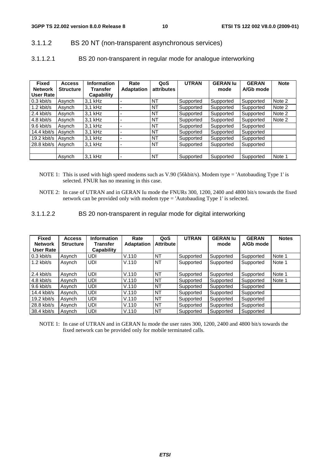#### 3.1.1.2 BS 20 NT (non-transparent asynchronous services)

3.1.1.2.1 BS 20 non-transparent in regular mode for analogue interworking

| <b>Fixed</b><br><b>Network</b> | <b>Access</b><br><b>Structure</b> | <b>Information</b><br><b>Transfer</b> | Rate<br><b>Adaptation</b> | QoS<br>attributes | <b>UTRAN</b> | <b>GERAN lu</b><br>mode | <b>GERAN</b><br>A/Gb mode | <b>Note</b> |
|--------------------------------|-----------------------------------|---------------------------------------|---------------------------|-------------------|--------------|-------------------------|---------------------------|-------------|
| User Rate                      |                                   | Capability                            |                           |                   |              |                         |                           |             |
| $0.3$ kbit/s                   | Asynch                            | $3.1$ kHz                             |                           | <b>NT</b>         | Supported    | Supported               | Supported                 | Note 2      |
| 1.2 kbit/s                     | Asynch                            | $3.1$ kHz                             |                           | <b>NT</b>         | Supported    | Supported               | Supported                 | Note 2      |
| 2.4 kbit/s                     | Asynch                            | $3.1$ kHz                             |                           | <b>NT</b>         | Supported    | Supported               | Supported                 | Note 2      |
| 4.8 kbit/s                     | Asynch                            | $3.1$ kHz                             |                           | <b>NT</b>         | Supported    | Supported               | Supported                 | Note 2      |
| 9.6 kbit/s                     | Asynch                            | $3.1$ kHz                             |                           | <b>NT</b>         | Supported    | Supported               | Supported                 |             |
| 14.4 kbit/s                    | Asynch                            | $3.1$ kHz                             |                           | <b>NT</b>         | Supported    | Supported               | Supported                 |             |
| 19.2 kbit/s                    | Asvnch                            | $3.1$ kHz                             |                           | <b>NT</b>         | Supported    | Supported               | Supported                 |             |
| 28.8 kbit/s   Asynch           |                                   | $3.1$ kHz                             |                           | <b>NT</b>         | Supported    | Supported               | Supported                 |             |
|                                |                                   |                                       |                           |                   |              |                         |                           |             |
|                                | Asynch                            | $3.1$ kHz                             |                           | <b>NT</b>         | Supported    | Supported               | Supported                 | Note 1      |

- NOTE 1: This is used with high speed modems such as V.90 (56kbit/s). Modem type = 'Autobauding Type 1' is selected. FNUR has no meaning in this case.
- NOTE 2: In case of UTRAN and in GERAN Iu mode the FNURs 300, 1200, 2400 and 4800 bit/s towards the fixed network can be provided only with modem type = 'Autobauding Type 1' is selected.
- 3.1.1.2.2 BS 20 non-transparent in regular mode for digital interworking

| <b>Fixed</b><br><b>Network</b><br>User Rate | <b>Access</b><br><b>Structure</b> | <b>Information</b><br><b>Transfer</b><br>Capability | Rate<br><b>Adaptation</b> | QoS<br><b>Attribute</b> | <b>UTRAN</b> | <b>GERAN lu</b><br>mode | <b>GERAN</b><br>A/Gb mode | <b>Notes</b> |
|---------------------------------------------|-----------------------------------|-----------------------------------------------------|---------------------------|-------------------------|--------------|-------------------------|---------------------------|--------------|
| $0.3$ kbit/s                                | Asynch                            | UDI                                                 | V.110                     | <b>NT</b>               | Supported    | Supported               | Supported                 | Note 1       |
| $1.2$ kbit/s                                | Asynch                            | <b>UDI</b>                                          | V.110                     | <b>NT</b>               | Supported    | Supported               | Supported                 | Note 1       |
| 2.4 kbit/s                                  | Asynch                            | <b>UDI</b>                                          | V.110                     | NT                      | Supported    | Supported               | Supported                 | Note 1       |
| 4.8 kbit/s                                  | Asynch                            | <b>UDI</b>                                          | V.110                     | <b>NT</b>               | Supported    | Supported               | Supported                 | Note 1       |
| 9.6 kbit/s                                  | Asynch                            | UDI                                                 | V.110                     | NT                      | Supported    | Supported               | Supported                 |              |
| $14.4$ kbit/s                               | Asynch,                           | <b>UDI</b>                                          | V.110                     | <b>NT</b>               | Supported    | Supported               | Supported                 |              |
| $19.2$ kbit/s                               | Asynch                            | <b>UDI</b>                                          | V.110                     | NT                      | Supported    | Supported               | Supported                 |              |
| $28.8$ kbit/s                               | Asynch                            | <b>UDI</b>                                          | V.110                     | <b>NT</b>               | Supported    | Supported               | Supported                 |              |
| 38.4 kbit/s                                 | Asynch                            | <b>UDI</b>                                          | V.110                     | <b>NT</b>               | Supported    | Supported               | Supported                 |              |

NOTE 1: In case of UTRAN and in GERAN Iu mode the user rates 300, 1200, 2400 and 4800 bit/s towards the fixed network can be provided only for mobile terminated calls.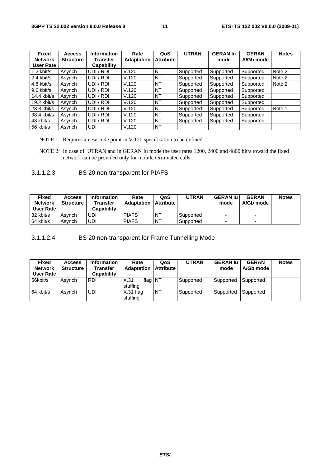| <b>Fixed</b>   | <b>Access</b>    | <b>Information</b> | Rate              | QoS              | <b>UTRAN</b> | <b>GERAN lu</b> | <b>GERAN</b> | <b>Notes</b> |
|----------------|------------------|--------------------|-------------------|------------------|--------------|-----------------|--------------|--------------|
| <b>Network</b> | <b>Structure</b> | <b>Transfer</b>    | <b>Adaptation</b> | <b>Attribute</b> |              | mode            | A/Gb mode    |              |
| User Rate      |                  | Capability         |                   |                  |              |                 |              |              |
| $1.2$ kbit/s   | Asynch           | UDI / RDI          | V.120             | NT               | Supported    | Supported       | Supported    | Note 2       |
| 2.4 kbit/s     | Asynch           | UDI / RDI          | V.120             | NT               | Supported    | Supported       | Supported    | Note 2       |
| $4.8$ kbit/s   | Asynch           | UDI / RDI          | V.120             | NT               | Supported    | Supported       | Supported    | Note 2       |
| $9.6$ kbit/s   | Asynch           | UDI / RDI          | V.120             | NT               | Supported    | Supported       | Supported    |              |
| $14.4$ kbit/s  | Asynch           | UDI / RDI          | V.120             | NT               | Supported    | Supported       | Supported    |              |
| $19.2$ kbit/s  | Asynch           | UDI / RDI          | V.120             | NT               | Supported    | Supported       | Supported    |              |
| 28.8 kbit/s    | Asynch           | UDI / RDI          | V.120             | NT               | Supported    | Supported       | Supported    | Note 1       |
| 38.4 kbit/s    | Asynch           | UDI / RDI          | V.120             | NT               | Supported    | Supported       | Supported    |              |
| 48 kbit/s      | Asvnch           | UDI / RDI          | V.120             | NT               | Supported    | Supported       | Supported    |              |
| 56 kbit/s      | Asynch           | UDI                | V.120             | NT               |              |                 |              |              |

NOTE 1: Requires a new code point in V.120 specification to be defined.

NOTE 2: In case of UTRAN and in GERAN Iu mode the user rates 1200, 2400 and 4800 bit/s toward the fixed network can be provided only for mobile terminated calls.

#### 3.1.1.2.3 BS 20 non-transparent for PIAFS

| Fixed<br><b>Network</b><br>User Rate | <b>Access</b><br><b>Structure</b> | <b>Information</b><br><b>Transfer</b><br>Capabilitv | Rate<br><b>Adaptation</b> | QoS<br><b>Attribute</b> | <b>UTRAN</b> | <b>GERAN lu</b><br>mode  | <b>GERAN</b><br>A/Gb mode | <b>Notes</b> |
|--------------------------------------|-----------------------------------|-----------------------------------------------------|---------------------------|-------------------------|--------------|--------------------------|---------------------------|--------------|
| 32 kbit/s                            | Asvnch                            | UDI                                                 | <b>PIAFS</b>              | <b>NT</b>               | Supported    | $\overline{\phantom{0}}$ | $\overline{\phantom{0}}$  |              |
| 64 kbit/s                            | Asvnch                            | UDI                                                 | <b>PIAFS</b>              | <b>NT</b>               | Supported    |                          | $\overline{\phantom{0}}$  |              |

3.1.1.2.4 BS 20 non-transparent for Frame Tunnelling Mode

| <b>Fixed</b><br><b>Network</b><br>User Rate | <b>Access</b><br><b>Structure</b> | <b>Information</b><br><b>Transfer</b><br>Capability | Rate<br><b>Adaptation</b>   | QoS<br><b>Attribute</b> | <b>UTRAN</b> | <b>GERAN lu</b><br>mode | <b>GERAN</b><br>A/Gb mode ' | <b>Notes</b> |
|---------------------------------------------|-----------------------------------|-----------------------------------------------------|-----------------------------|-------------------------|--------------|-------------------------|-----------------------------|--------------|
| 56kbit/s                                    | Asvnch                            | <b>RDI</b>                                          | flag NT<br>X.31<br>stuffing |                         | Supported    | Supported               | Supported                   |              |
| 64 kbit/s                                   | Asvnch                            | UDI                                                 | $X.31$ flag<br>stuffing     | NT                      | Supported    | Supported               | Supported                   |              |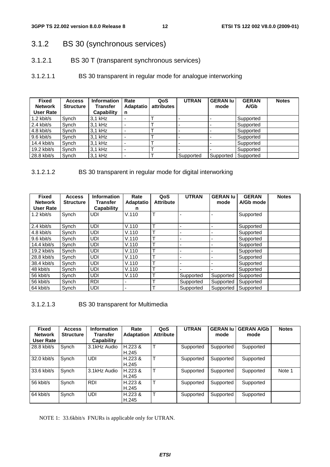- 3.1.2 BS 30 (synchronous services)
- 3.1.2.1 BS 30 T (transparent synchronous services)
- 3.1.2.1.1 BS 30 transparent in regular mode for analogue interworking

| <b>Fixed</b><br><b>Network</b><br><b>User Rate</b> | <b>Access</b><br><b>Structure</b> | <b>Information</b><br>Transfer<br>Capability | Rate<br><b>Adaptatio</b><br>n | QoS<br>attributes | <b>UTRAN</b> | <b>GERAN lu</b><br>mode | <b>GERAN</b><br>A/Gb | <b>Notes</b> |
|----------------------------------------------------|-----------------------------------|----------------------------------------------|-------------------------------|-------------------|--------------|-------------------------|----------------------|--------------|
| 1.2 kbit/s                                         | Synch                             | $3.1$ kHz                                    | ۰                             |                   |              |                         | Supported            |              |
| $2.4$ kbit/s                                       | Synch                             | 3.1 kHz                                      | -                             |                   |              |                         | Supported            |              |
| $4.8$ kbit/s                                       | Synch                             | 3,1 kHz                                      | -                             |                   |              |                         | Supported            |              |
| $9.6$ kbit/s                                       | Synch                             | $3.1$ kHz                                    | -                             |                   |              |                         | Supported            |              |
| 14.4 kbit/s                                        | Synch                             | 3.1 kHz                                      | -                             |                   |              |                         | Supported            |              |
| 19.2 kbit/s                                        | Synch                             | 3.1 kHz                                      | -                             |                   |              |                         | Supported            |              |
| 28.8 kbit/s                                        | Synch                             | 3.1 kHz                                      | ٠                             |                   | Supported    | Supported               | Supported            |              |

#### 3.1.2.1.2 BS 30 transparent in regular mode for digital interworking

| <b>Fixed</b>   | <b>Access</b>    | <b>Information</b> | Rate                     | QoS              | <b>UTRAN</b> | <b>GERAN lu</b> | <b>GERAN</b> | <b>Notes</b> |
|----------------|------------------|--------------------|--------------------------|------------------|--------------|-----------------|--------------|--------------|
| <b>Network</b> | <b>Structure</b> | <b>Transfer</b>    | <b>Adaptatio</b>         | <b>Attribute</b> |              | mode            | A/Gb mode    |              |
| User Rate      |                  | <b>Capability</b>  | n                        |                  |              |                 |              |              |
| $1.2$ kbit/s   | Synch            | UDI                | V.110                    | т                |              |                 | Supported    |              |
| $2.4$ kbit/s   | Synch            | UDI                | V.110                    | т                |              |                 | Supported    |              |
| $4.8$ kbit/s   | Synch            | UDI                | V.110                    | $\mathbf \tau$   |              | ۰               | Supported    |              |
| $9.6$ kbit/s   | Synch            | <b>UDI</b>         | V.110                    | ᠇                |              |                 | Supported    |              |
| $14.4$ kbit/s  | Synch            | <b>UDI</b>         | V.110                    | ᠇                |              | -               | Supported    |              |
| $19.2$ kbit/s  | Synch            | UDI                | V.110                    | т                |              |                 | Supported    |              |
| $28.8$ kbit/s  | Synch            | <b>UDI</b>         | V.110                    | ᠇                |              |                 | Supported    |              |
| 38.4 kbit/s    | Synch            | UDI                | V.110                    | ᠇                |              |                 | Supported    |              |
| 48 kbit/s      | Synch            | UDI                | V.110                    | ᠇                |              |                 | Supported    |              |
| 56 kbit/s      | Synch            | <b>UDI</b>         | V.110                    |                  | Supported    | Supported       | Supported    |              |
| 56 kbit/s      | Synch            | <b>RDI</b>         | $\blacksquare$           | ᠇                | Supported    | Supported       | Supported    |              |
| 64 kbit/s      | Synch            | <b>UDI</b>         | $\overline{\phantom{0}}$ | ᠇                | Supported    | Supported       | Supported    |              |

3.1.2.1.3 BS 30 transparent for Multimedia

| <b>Fixed</b><br><b>Network</b><br>User Rate | <b>Access</b><br><b>Structure</b> | <b>Information</b><br>Transfer<br>Capability | Rate<br><b>Adaptation</b> | QoS<br><b>Attribute</b> | <b>UTRAN</b> | <b>GERAN lu</b><br>mode | <b>GERAN A/Gb</b><br>mode | <b>Notes</b> |
|---------------------------------------------|-----------------------------------|----------------------------------------------|---------------------------|-------------------------|--------------|-------------------------|---------------------------|--------------|
| 28.8 kbit/s                                 | Synch                             | 3.1kHz Audio                                 | H.223 &<br>H.245          | т                       | Supported    | Supported               | Supported                 |              |
| 32.0 kbit/s                                 | Synch                             | <b>UDI</b>                                   | H.223 &<br>H.245          | Τ                       | Supported    | Supported               | Supported                 |              |
| 33.6 kbit/s                                 | Synch                             | 3.1kHz Audio                                 | H.223 &<br>H.245          | Т                       | Supported    | Supported               | Supported                 | Note 1       |
| 56 kbit/s                                   | Synch                             | <b>RDI</b>                                   | H.223 &<br>H.245          |                         | Supported    | Supported               | Supported                 |              |
| 64 kbit/s                                   | Synch                             | UDI                                          | H.223 &<br>H.245          | $\mathsf{T}$            | Supported    | Supported               | Supported                 |              |

NOTE 1: 33.6kbit/s FNURs is applicable only for UTRAN.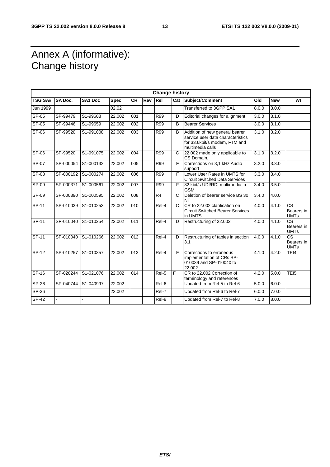### Annex A (informative): Change history

| <b>Change history</b> |                |                |             |                  |     |                    |                |                                                                                                                          |       |            |                                                     |
|-----------------------|----------------|----------------|-------------|------------------|-----|--------------------|----------------|--------------------------------------------------------------------------------------------------------------------------|-------|------------|-----------------------------------------------------|
| <b>TSG SA#</b>        | <b>SA Doc.</b> | <b>SA1 Doc</b> | <b>Spec</b> | <b>CR</b>        | Rev | Rel                |                | Cat Subject/Comment                                                                                                      | Old   | <b>New</b> | WI                                                  |
| <b>Jun 1999</b>       |                |                | 02.02       |                  |     |                    |                | Transferred to 3GPP SA1                                                                                                  | 8.0.0 | 3.0.0      |                                                     |
| $SP-05$               | SP-99479       | S1-99608       | 22.002      | 001              |     | <b>R99</b>         | D              | Editorial changes for alignment                                                                                          | 3.0.0 | 3.1.0      |                                                     |
| SP-05                 | SP-99446       | S1-99659       | 22.002      | 002              |     | <b>R99</b>         | B              | <b>Bearer Services</b>                                                                                                   | 3.0.0 | 3.1.0      |                                                     |
| $SP-06$               | SP-99520       | S1-991008      | 22.002      | 003              |     | <b>R99</b>         | B              | Addition of new general bearer<br>service user data characteristics<br>for 33.6kbit/s modem, FTM and<br>multimedia calls | 3.1.0 | 3.2.0      |                                                     |
| <b>SP-06</b>          | SP-99520       | S1-991075      | 22.002      | 004              |     | <b>R99</b>         | C              | 22.002 made only applicable to<br>CS Domain.                                                                             | 3.1.0 | 3.2.0      |                                                     |
| $SP-07$               | SP-000054      | S1-000132      | 22.002      | 005              |     | R99                | F              | Corrections on 3,1 kHz Audio<br>support                                                                                  | 3.2.0 | 3.3.0      |                                                     |
| $SP-08$               | SP-000192      | S1-000274      | 22.002      | 006              |     | R99                | F              | Lower User Rates in UMTS for<br><b>Circuit Switched Data Services</b>                                                    | 3.3.0 | 3.4.0      |                                                     |
| SP-09                 | SP-000371      | S1-000561      | 22.002      | 007              |     | R99                | F              | 32 kbit/s UDI/RDI multimedia in<br><b>GSM</b>                                                                            | 3.4.0 | 3.5.0      |                                                     |
| SP-09                 | SP-000390      | S1-000595      | 22.002      | 008              |     | R4                 | C              | Deletion of bearer service BS 30<br><b>NT</b>                                                                            | 3.4.0 | 4.0.0      |                                                     |
| $SP-11$               | SP-010039      | S1-010253      | 22.002      | 010              |     | Rel-4              | $\mathsf{C}$   | CR to 22.002 clarification on<br><b>Circuit Switched Bearer Services</b><br>in UMTS                                      | 4.0.0 | 4.1.0      | $\overline{\text{cs}}$<br>Bearers in<br><b>UMTs</b> |
| $SP-11$               | SP-010040      | S1-010254      | 22.002      | $\overline{011}$ |     | $ReI-4$            | $\overline{D}$ | Restructuring of 22.002                                                                                                  | 4.0.0 | 4.1.0      | $\overline{\text{cs}}$<br>Bearers in<br><b>UMTs</b> |
| $SP-11$               | SP-010040      | S1-010266      | 22.002      | $\overline{012}$ |     | $\overline{Rel-4}$ | D              | Restructuring of tables in section<br>3.1                                                                                | 4.0.0 | 4.1.0      | $\overline{\text{cs}}$<br>Bearers in<br><b>UMTs</b> |
| $SP-12$               | SP-010257      | S1-010357      | 22.002      | $\overline{013}$ |     | $ReI-4$            | F              | Corrections to erroneous<br>implementation of CRs SP-<br>010039 and SP-010040 to<br>22.002.                              | 4.1.0 | 4.2.0      | TEI4                                                |
| $SP-16$               | SP-020244      | S1-021076      | 22.002      | 014              |     | $Rel-5$            | F              | CR to 22.002 Correction of<br>terminology and references                                                                 | 4.2.0 | 5.0.0      | TE <sub>15</sub>                                    |
| $SP-26$               | SP-040744      | S1-040997      | 22.002      |                  |     | $ReI-6$            |                | Updated from Rel-5 to Rel-6                                                                                              | 5.0.0 | 6.0.0      |                                                     |
| $SP-36$               |                |                | 22.002      |                  |     | Rel-7              |                | Updated from Rel-6 to Rel-7                                                                                              | 6.0.0 | 7.0.0      |                                                     |
| $SP-42$               |                |                |             |                  |     | Rel-8              |                | Updated from Rel-7 to Rel-8                                                                                              | 7.0.0 | 8.0.0      |                                                     |
|                       |                |                |             |                  |     |                    |                |                                                                                                                          |       |            |                                                     |